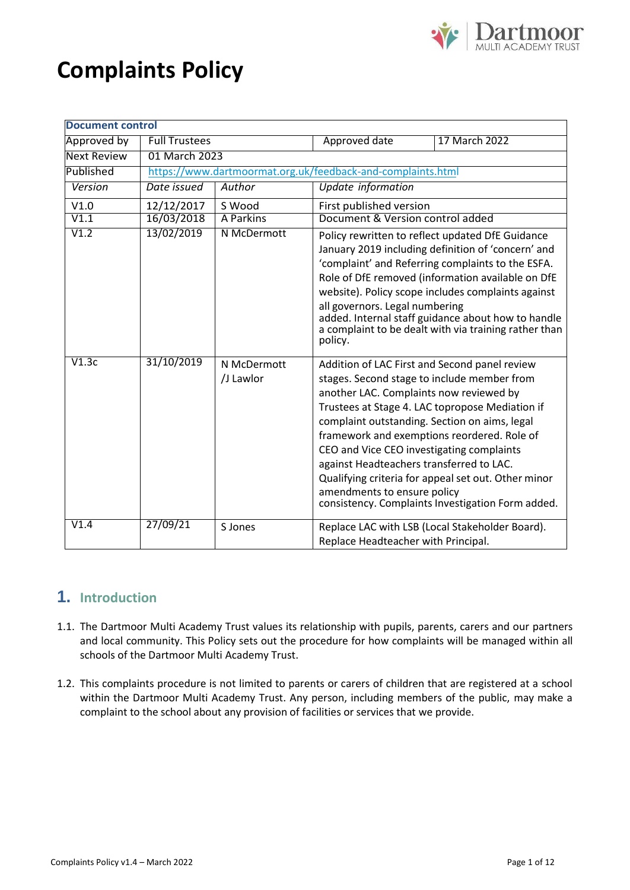# **Complaints Policy**



| <b>Document control</b> |                      |                                                             |                                                                         |                                                                                                                                                                                                                                                                                                                                                                                                                                                     |
|-------------------------|----------------------|-------------------------------------------------------------|-------------------------------------------------------------------------|-----------------------------------------------------------------------------------------------------------------------------------------------------------------------------------------------------------------------------------------------------------------------------------------------------------------------------------------------------------------------------------------------------------------------------------------------------|
| Approved by             | <b>Full Trustees</b> |                                                             | Approved date                                                           | 17 March 2022                                                                                                                                                                                                                                                                                                                                                                                                                                       |
| <b>Next Review</b>      | 01 March 2023        |                                                             |                                                                         |                                                                                                                                                                                                                                                                                                                                                                                                                                                     |
| Published               |                      | https://www.dartmoormat.org.uk/feedback-and-complaints.html |                                                                         |                                                                                                                                                                                                                                                                                                                                                                                                                                                     |
| Version                 | Date issued          | Author                                                      | Update information                                                      |                                                                                                                                                                                                                                                                                                                                                                                                                                                     |
| V1.0                    | 12/12/2017           | S Wood                                                      | First published version                                                 |                                                                                                                                                                                                                                                                                                                                                                                                                                                     |
| V1.1                    | 16/03/2018           | <b>A Parkins</b>                                            | Document & Version control added                                        |                                                                                                                                                                                                                                                                                                                                                                                                                                                     |
| V1.2                    | 13/02/2019           | N McDermott                                                 | all governors. Legal numbering<br>policy.                               | Policy rewritten to reflect updated DfE Guidance<br>January 2019 including definition of 'concern' and<br>'complaint' and Referring complaints to the ESFA.<br>Role of DfE removed (information available on DfE<br>website). Policy scope includes complaints against<br>added. Internal staff guidance about how to handle<br>a complaint to be dealt with via training rather than                                                               |
| V1.3c                   | 31/10/2019           | N McDermott<br>/J Lawlor                                    | against Headteachers transferred to LAC.<br>amendments to ensure policy | Addition of LAC First and Second panel review<br>stages. Second stage to include member from<br>another LAC. Complaints now reviewed by<br>Trustees at Stage 4. LAC topropose Mediation if<br>complaint outstanding. Section on aims, legal<br>framework and exemptions reordered. Role of<br>CEO and Vice CEO investigating complaints<br>Qualifying criteria for appeal set out. Other minor<br>consistency. Complaints Investigation Form added. |
| V1.4                    | 27/09/21             | S Jones                                                     | Replace Headteacher with Principal.                                     | Replace LAC with LSB (Local Stakeholder Board).                                                                                                                                                                                                                                                                                                                                                                                                     |

# **1. Introduction**

- 1.1. The Dartmoor Multi Academy Trust values its relationship with pupils, parents, carers and our partners and local community. This Policy sets out the procedure for how complaints will be managed within all schools of the Dartmoor Multi Academy Trust.
- 1.2. This complaints procedure is not limited to parents or carers of children that are registered at a school within the Dartmoor Multi Academy Trust. Any person, including members of the public, may make a complaint to the school about any provision of facilities or services that we provide.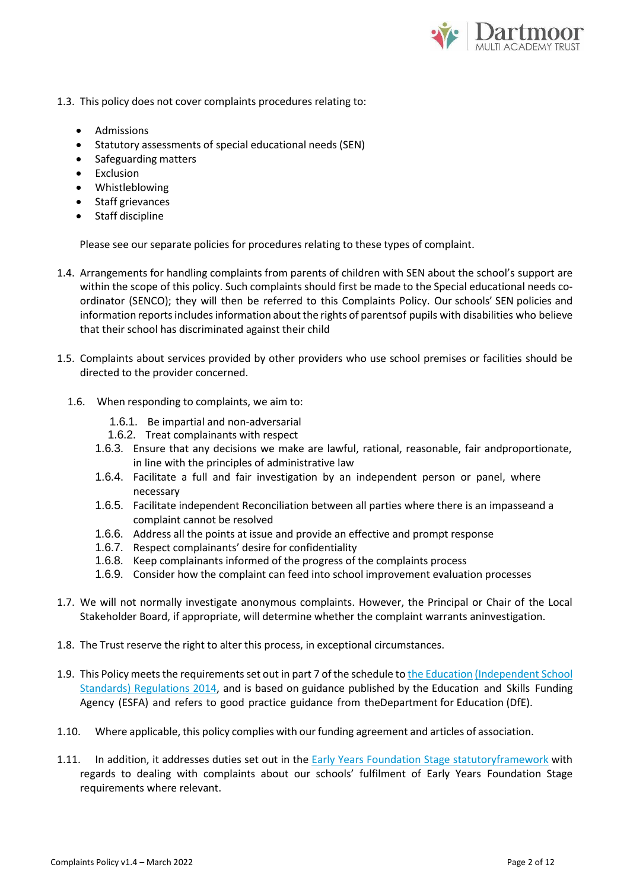

- 1.3. This policy does not cover complaints procedures relating to:
	- Admissions
	- Statutory assessments of special educational needs (SEN)
	- Safeguarding matters
	- Exclusion
	- Whistleblowing
	- Staff grievances
	- Staff discipline

Please see our separate policies for procedures relating to these types of complaint.

- 1.4. Arrangements for handling complaints from parents of children with SEN about the school's support are within the scope of this policy. Such complaints should first be made to the Special educational needs coordinator (SENCO); they will then be referred to this Complaints Policy. Our schools' SEN policies and information reports includes information about the rights of parentsof pupils with disabilities who believe that their school has discriminated against their child
- 1.5. Complaints about services provided by other providers who use school premises or facilities should be directed to the provider concerned.
	- 1.6. When responding to complaints, we aim to:
		- 1.6.1. Be impartial and non-adversarial
		- 1.6.2. Treat complainants with respect
		- 1.6.3. Ensure that any decisions we make are lawful, rational, reasonable, fair andproportionate, in line with the principles of administrative law
		- 1.6.4. Facilitate a full and fair investigation by an independent person or panel, where necessary
		- 1.6.5. Facilitate independent Reconciliation between all parties where there is an impasseand a complaint cannot be resolved
		- 1.6.6. Address all the points at issue and provide an effective and prompt response
		- 1.6.7. Respect complainants' desire for confidentiality
		- 1.6.8. Keep complainants informed of the progress of the complaints process
		- 1.6.9. Consider how the complaint can feed into school improvement evaluation processes
- 1.7. We will not normally investigate anonymous complaints. However, the Principal or Chair of the Local Stakeholder Board, if appropriate, will determine whether the complaint warrants aninvestigation.
- 1.8. The Trust reserve the right to alter this process, in exceptional circumstances.
- 1.9. This Policy meets the requirements set out in part 7 of the schedule to the [Education](http://www.legislation.gov.uk/uksi/2014/3283/schedule/made) [\(Independent](http://www.legislation.gov.uk/uksi/2014/3283/schedule/made) School Standards) [Regulations](http://www.legislation.gov.uk/uksi/2014/3283/schedule/made) 2014, and is based on guidance published by the Education and Skills Funding Agency (ESFA) and refers to good practice guidance from theDepartment for Education (DfE).
- 1.10. Where applicable, this policy complies with our funding agreement and articles of association.
- 1.11. In addition, it addresses duties set out in the Early Years [Foundation](https://www.gov.uk/government/publications/early-years-foundation-stage-framework--2) Stage statutor[yframework](https://www.gov.uk/government/publications/early-years-foundation-stage-framework--2) with regards to dealing with complaints about our schools' fulfilment of Early Years Foundation Stage requirements where relevant.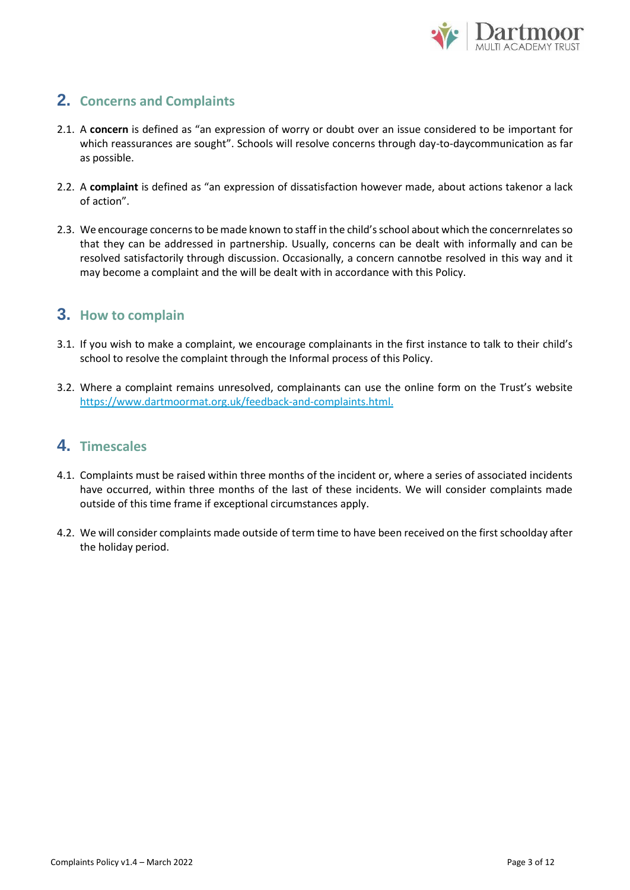

## **2. Concerns and Complaints**

- 2.1. A **concern** is defined as "an expression of worry or doubt over an issue considered to be important for which reassurances are sought". Schools will resolve concerns through day-to-daycommunication as far as possible.
- 2.2. A **complaint** is defined as "an expression of dissatisfaction however made, about actions takenor a lack of action".
- 2.3. We encourage concerns to be made known to staff in the child's school about which the concernrelates so that they can be addressed in partnership. Usually, concerns can be dealt with informally and can be resolved satisfactorily through discussion. Occasionally, a concern cannotbe resolved in this way and it may become a complaint and the will be dealt with in accordance with this Policy.

## **3. How to complain**

- 3.1. If you wish to make a complaint, we encourage complainants in the first instance to talk to their child's school to resolve the complaint through the Informal process of this Policy.
- 3.2. Where a complaint remains unresolved, complainants can use the online form on the Trust's website [https://www.dartmoormat.org.uk/feedback-and-complaints.html.](https://www.dartmoormat.org.uk/feedback-and-complaints.html)

## **4. Timescales**

- 4.1. Complaints must be raised within three months of the incident or, where a series of associated incidents have occurred, within three months of the last of these incidents. We will consider complaints made outside of this time frame if exceptional circumstances apply.
- 4.2. We will consider complaints made outside of term time to have been received on the first schoolday after the holiday period.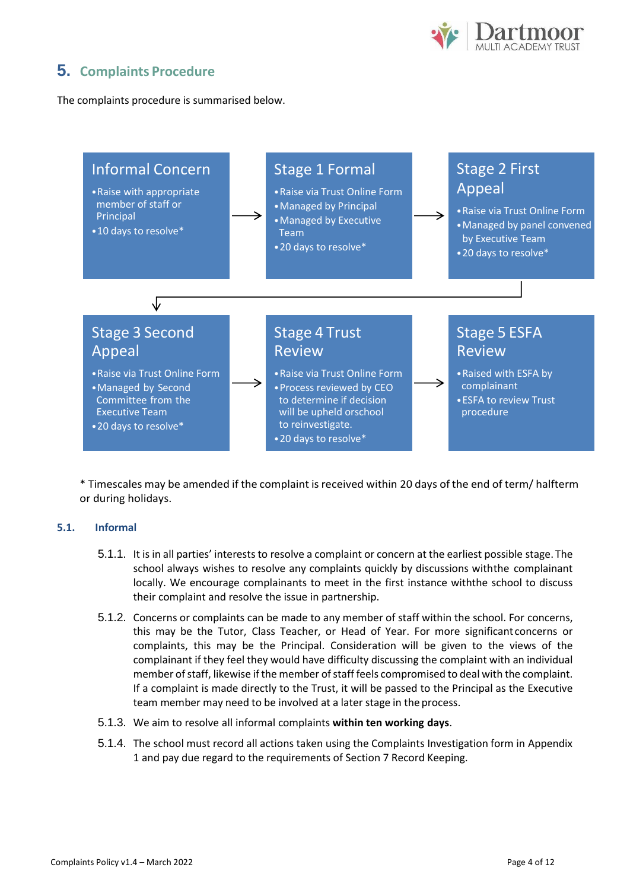

# **5. Complaints Procedure**

The complaints procedure is summarised below.



\* Timescales may be amended if the complaint isreceived within 20 days of the end of term/ halfterm or during holidays.

## **5.1. Informal**

- 5.1.1. It is in all parties' interests to resolve a complaint or concern at the earliest possible stage. The school always wishes to resolve any complaints quickly by discussions withthe complainant locally. We encourage complainants to meet in the first instance withthe school to discuss their complaint and resolve the issue in partnership.
- 5.1.2. Concerns or complaints can be made to any member of staff within the school. For concerns, this may be the Tutor, Class Teacher, or Head of Year. For more significant concerns or complaints, this may be the Principal. Consideration will be given to the views of the complainant if they feel they would have difficulty discussing the complaint with an individual member of staff, likewise if the member of staff feels compromised to deal with the complaint. If a complaint is made directly to the Trust, it will be passed to the Principal as the Executive team member may need to be involved at a later stage in the process.
- 5.1.3. We aim to resolve all informal complaints **within ten working days**.
- 5.1.4. The school must record all actions taken using the Complaints Investigation form in Appendix 1 and pay due regard to the requirements of Section 7 Record Keeping.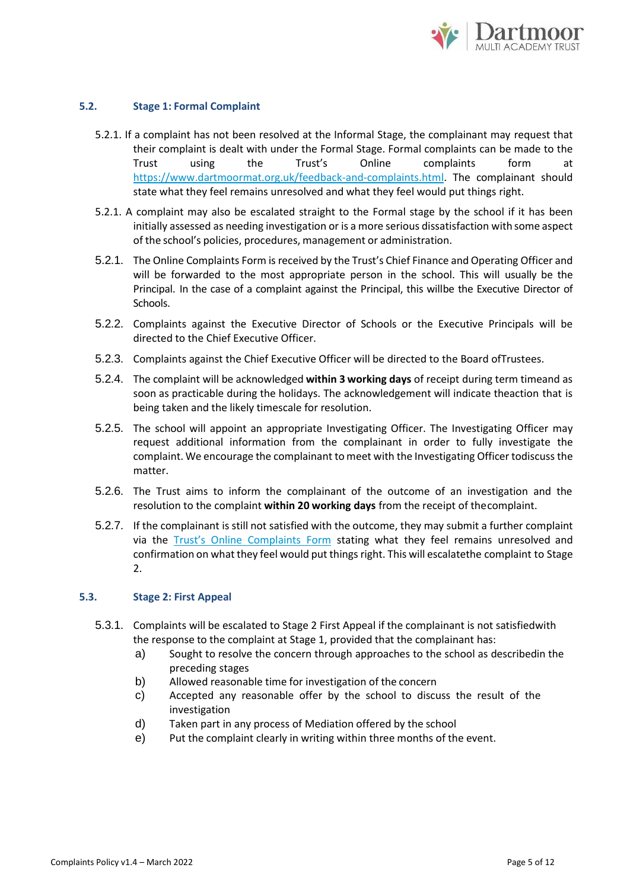

## **5.2. Stage 1: Formal Complaint**

- 5.2.1. If a complaint has not been resolved at the Informal Stage, the complainant may request that their complaint is dealt with under the Formal Stage. Formal complaints can be made to the Trust using the Trust's Online complaints form at [https://www.dartmoormat.org.uk/feedback-and-complaints.html.](https://www.dartmoormat.org.uk/feedback-and-complaints.html) The complainant should state what they feel remains unresolved and what they feel would put things right.
- 5.2.1. A complaint may also be escalated straight to the Formal stage by the school if it has been initially assessed as needing investigation or is a more serious dissatisfaction with some aspect of the school's policies, procedures, management or administration.
- 5.2.1. The Online Complaints Form is received by the Trust's Chief Finance and Operating Officer and will be forwarded to the most appropriate person in the school. This will usually be the Principal. In the case of a complaint against the Principal, this willbe the Executive Director of Schools.
- 5.2.2. Complaints against the Executive Director of Schools or the Executive Principals will be directed to the Chief Executive Officer.
- 5.2.3. Complaints against the Chief Executive Officer will be directed to the Board ofTrustees.
- 5.2.4. The complaint will be acknowledged **within 3 working days** of receipt during term timeand as soon as practicable during the holidays. The acknowledgement will indicate theaction that is being taken and the likely timescale for resolution.
- 5.2.5. The school will appoint an appropriate Investigating Officer. The Investigating Officer may request additional information from the complainant in order to fully investigate the complaint. We encourage the complainant tomeet with the Investigating Officer todiscuss the matter.
- 5.2.6. The Trust aims to inform the complainant of the outcome of an investigation and the resolution to the complaint **within 20 working days** from the receipt of thecomplaint.
- 5.2.7. If the complainant is still not satisfied with the outcome, they may submit a further complaint via the [Trust's Online Complaints Form](https://www.dartmoormat.org.uk/feedback-and-complaints.html) stating what they feel remains unresolved and confirmation on what they feel would put things right. This will escalatethe complaint to Stage 2.

#### **5.3. Stage 2: First Appeal**

- 5.3.1. Complaints will be escalated to Stage 2 First Appeal if the complainant is not satisfiedwith the response to the complaint at Stage 1, provided that the complainant has:
	- a) Sought to resolve the concern through approaches to the school as describedin the preceding stages
	- b) Allowed reasonable time for investigation of the concern
	- c) Accepted any reasonable offer by the school to discuss the result of the investigation
	- d) Taken part in any process of Mediation offered by the school
	- e) Put the complaint clearly in writing within three months of the event.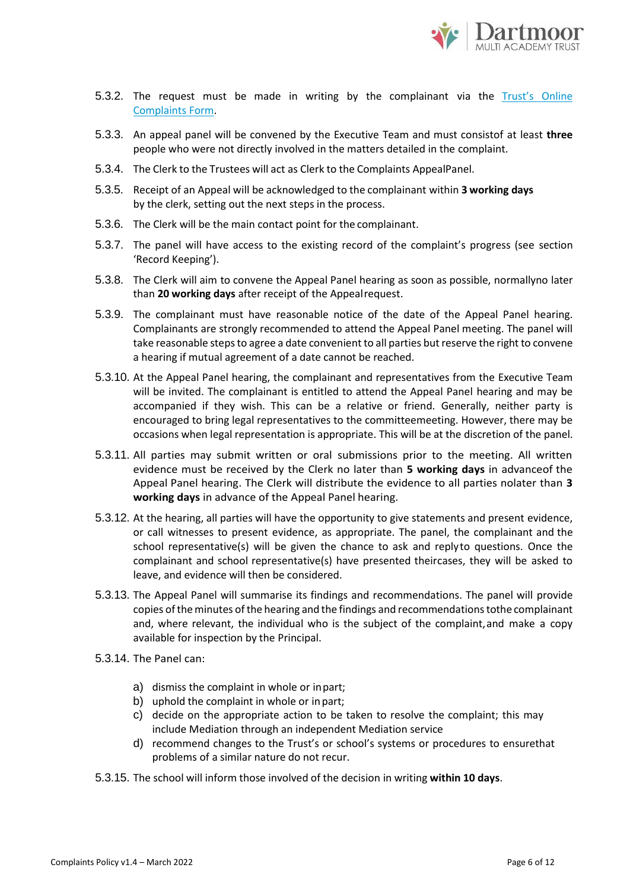

- 5.3.2. The request must be made in writing by the complainant via the [Trust's](https://www.dartmoormat.org.uk/feedback-and-complaints.html) Online [Complaints](https://www.dartmoormat.org.uk/feedback-and-complaints.html) Form.
- 5.3.3. An appeal panel will be convened by the Executive Team and must consistof at least **three**  people who were not directly involved in the matters detailed in the complaint.
- 5.3.4. The Clerk to the Trustees will act as Clerk to the Complaints AppealPanel.
- 5.3.5. Receipt of an Appeal will be acknowledged to the complainant within **3 working days** by the clerk, setting out the next steps in the process.
- 5.3.6. The Clerk will be the main contact point for the complainant.
- 5.3.7. The panel will have access to the existing record of the complaint's progress (see section 'Record Keeping').
- 5.3.8. The Clerk will aim to convene the Appeal Panel hearing as soon as possible, normallyno later than **20 working days** after receipt of the Appealrequest.
- 5.3.9. The complainant must have reasonable notice of the date of the Appeal Panel hearing. Complainants are strongly recommended to attend the Appeal Panel meeting. The panel will take reasonable steps to agree a date convenient to all parties but reserve the right to convene a hearing if mutual agreement of a date cannot be reached.
- 5.3.10. At the Appeal Panel hearing, the complainant and representatives from the Executive Team will be invited. The complainant is entitled to attend the Appeal Panel hearing and may be accompanied if they wish. This can be a relative or friend. Generally, neither party is encouraged to bring legal representatives to the committeemeeting. However, there may be occasions when legal representation is appropriate. This will be at the discretion of the panel.
- 5.3.11. All parties may submit written or oral submissions prior to the meeting. All written evidence must be received by the Clerk no later than **5 working days** in advanceof the Appeal Panel hearing. The Clerk will distribute the evidence to all parties nolater than **3 working days** in advance of the Appeal Panel hearing.
- 5.3.12. At the hearing, all parties will have the opportunity to give statements and present evidence, or call witnesses to present evidence, as appropriate. The panel, the complainant and the school representative(s) will be given the chance to ask and replyto questions. Once the complainant and school representative(s) have presented theircases, they will be asked to leave, and evidence will then be considered.
- 5.3.13. The Appeal Panel will summarise its findings and recommendations. The panel will provide copies of the minutes of the hearing and the findings and recommendations tothe complainant and, where relevant, the individual who is the subject of the complaint,and make a copy available for inspection by the Principal.
- 5.3.14. The Panel can:
	- a) dismiss the complaint in whole or inpart;
	- b) uphold the complaint in whole or inpart;
	- c) decide on the appropriate action to be taken to resolve the complaint; this may include Mediation through an independent Mediation service
	- d) recommend changes to the Trust's or school's systems or procedures to ensurethat problems of a similar nature do not recur.
- 5.3.15. The school will inform those involved of the decision in writing **within 10 days**.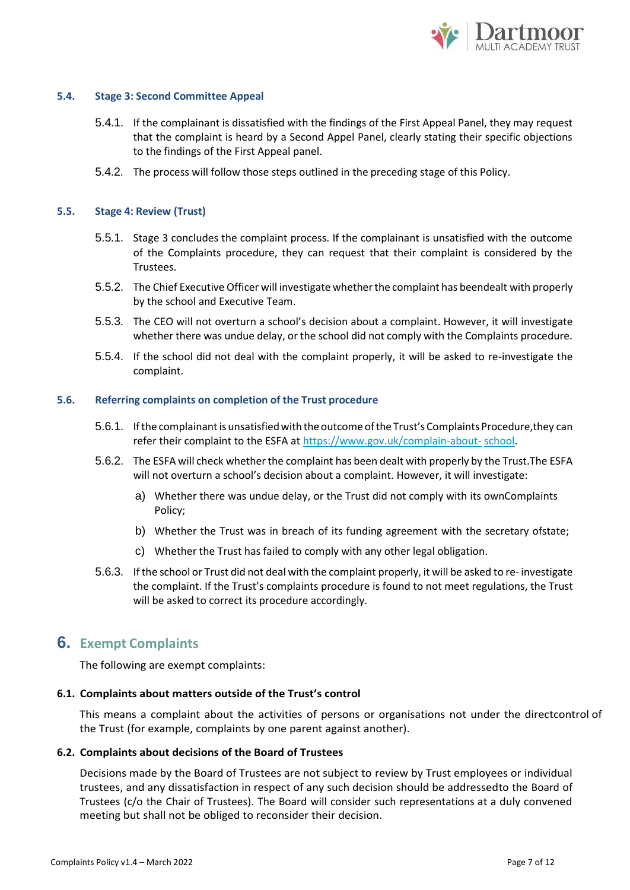

### **5.4. Stage 3: Second Committee Appeal**

- 5.4.1. If the complainant is dissatisfied with the findings of the First Appeal Panel, they may request that the complaint is heard by a Second Appel Panel, clearly stating their specific objections to the findings of the First Appeal panel.
- 5.4.2. The process will follow those steps outlined in the preceding stage of this Policy.

## **5.5. Stage 4: Review (Trust)**

- 5.5.1. Stage 3 concludes the complaint process. If the complainant is unsatisfied with the outcome of the Complaints procedure, they can request that their complaint is considered by the Trustees.
- 5.5.2. The Chief Executive Officer will investigate whetherthe complaint has beendealt with properly by the school and Executive Team.
- 5.5.3. The CEO will not overturn a school's decision about a complaint. However, it will investigate whether there was undue delay, or the school did not comply with the Complaints procedure.
- 5.5.4. If the school did not deal with the complaint properly, it will be asked to re-investigate the complaint.

## **5.6. Referring complaints on completion of the Trust procedure**

- 5.6.1. If the complainant is unsatisfied with the outcome of the Trust's Complaints Procedure, they can refer their complaint to the ESFA at [https://www.gov.uk/complain-about-](https://www.gov.uk/complain-about-school) [school.](https://www.gov.uk/complain-about-school)
- 5.6.2. The ESFA will check whether the complaint has been dealt with properly by the Trust. The ESFA will not overturn a school's decision about a complaint. However, it will investigate:
	- a) Whether there was undue delay, or the Trust did not comply with its ownComplaints Policy;
	- b) Whether the Trust was in breach of its funding agreement with the secretary ofstate;
	- c) Whether the Trust has failed to comply with any other legal obligation.
- 5.6.3. If the school or Trust did not deal with the complaint properly, it will be asked to re- investigate the complaint. If the Trust's complaints procedure is found to not meet regulations, the Trust will be asked to correct its procedure accordingly.

## **6. Exempt Complaints**

The following are exempt complaints:

#### **6.1. Complaints about matters outside of the Trust's control**

This means a complaint about the activities of persons or organisations not under the directcontrol of the Trust (for example, complaints by one parent against another).

#### **6.2. Complaints about decisions of the Board of Trustees**

Decisions made by the Board of Trustees are not subject to review by Trust employees or individual trustees, and any dissatisfaction in respect of any such decision should be addressedto the Board of Trustees (c/o the Chair of Trustees). The Board will consider such representations at a duly convened meeting but shall not be obliged to reconsider their decision.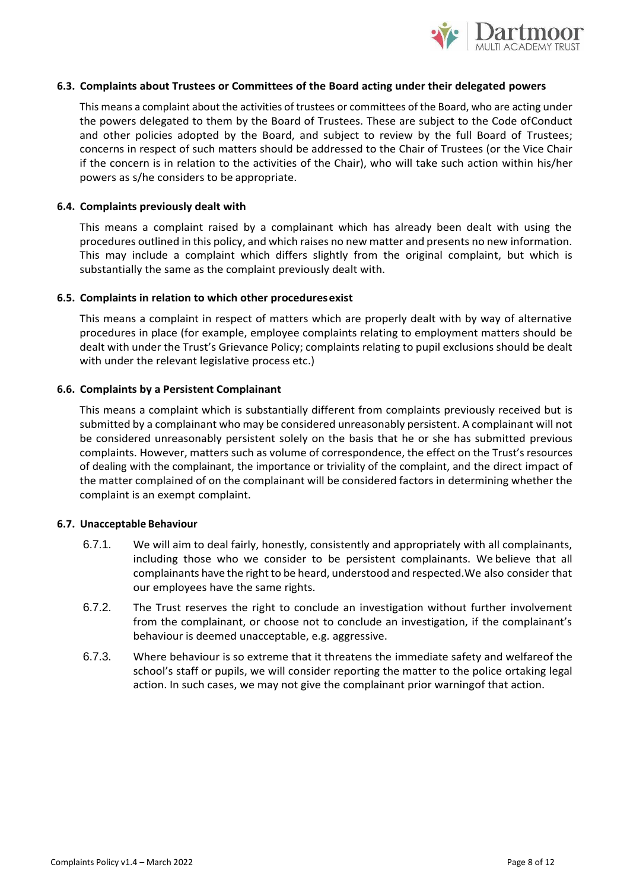

### **6.3. Complaints about Trustees or Committees of the Board acting under their delegated powers**

This means a complaint about the activities of trustees or committees of the Board, who are acting under the powers delegated to them by the Board of Trustees. These are subject to the Code ofConduct and other policies adopted by the Board, and subject to review by the full Board of Trustees; concerns in respect of such matters should be addressed to the Chair of Trustees (or the Vice Chair if the concern is in relation to the activities of the Chair), who will take such action within his/her powers as s/he considers to be appropriate.

## **6.4. Complaints previously dealt with**

This means a complaint raised by a complainant which has already been dealt with using the procedures outlined in this policy, and which raises no new matter and presents no new information. This may include a complaint which differs slightly from the original complaint, but which is substantially the same as the complaint previously dealt with.

## **6.5. Complaints in relation to which other proceduresexist**

This means a complaint in respect of matters which are properly dealt with by way of alternative procedures in place (for example, employee complaints relating to employment matters should be dealt with under the Trust's Grievance Policy; complaints relating to pupil exclusions should be dealt with under the relevant legislative process etc.)

## **6.6. Complaints by a Persistent Complainant**

This means a complaint which is substantially different from complaints previously received but is submitted by a complainant who may be considered unreasonably persistent. A complainant will not be considered unreasonably persistent solely on the basis that he or she has submitted previous complaints. However, matters such as volume of correspondence, the effect on the Trust's resources of dealing with the complainant, the importance or triviality of the complaint, and the direct impact of the matter complained of on the complainant will be considered factors in determining whether the complaint is an exempt complaint.

## **6.7. Unacceptable Behaviour**

- 6.7.1. We will aim to deal fairly, honestly, consistently and appropriately with all complainants, including those who we consider to be persistent complainants. We believe that all complainants have the right to be heard, understood and respected. We also consider that our employees have the same rights.
- 6.7.2. The Trust reserves the right to conclude an investigation without further involvement from the complainant, or choose not to conclude an investigation, if the complainant's behaviour is deemed unacceptable, e.g. aggressive.
- 6.7.3. Where behaviour is so extreme that it threatens the immediate safety and welfareof the school's staff or pupils, we will consider reporting the matter to the police ortaking legal action. In such cases, we may not give the complainant prior warningof that action.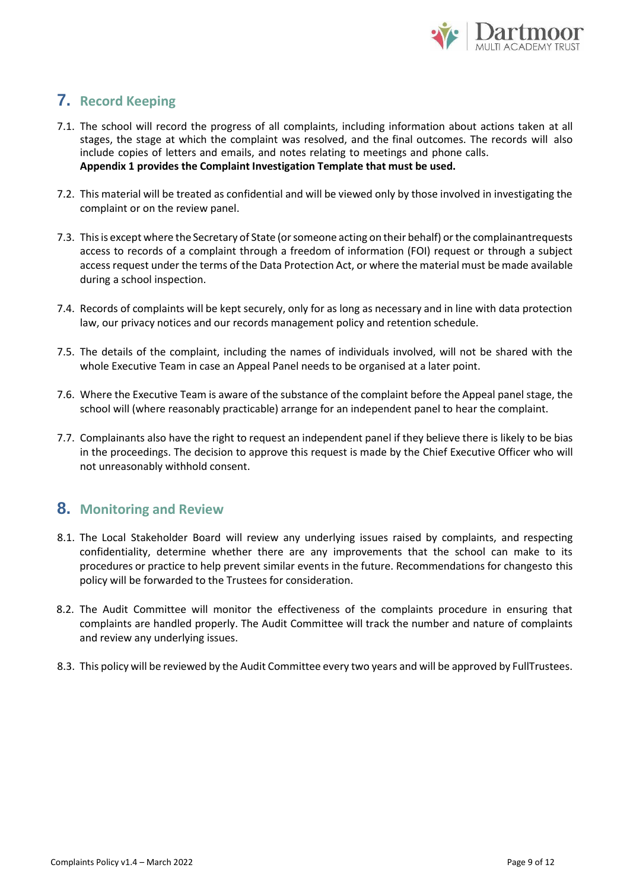

# **7. Record Keeping**

- 7.1. The school will record the progress of all complaints, including information about actions taken at all stages, the stage at which the complaint was resolved, and the final outcomes. The records will also include copies of letters and emails, and notes relating to meetings and phone calls. **Appendix 1 provides the Complaint Investigation Template that must be used.**
- 7.2. This material will be treated as confidential and will be viewed only by those involved in investigating the complaint or on the review panel.
- 7.3. Thisis except where the Secretary of State (orsomeone acting on their behalf) orthe complainantrequests access to records of a complaint through a freedom of information (FOI) request or through a subject access request under the terms of the Data Protection Act, or where the material must be made available during a school inspection.
- 7.4. Records of complaints will be kept securely, only for as long as necessary and in line with data protection law, our privacy notices and our records management policy and retention schedule.
- 7.5. The details of the complaint, including the names of individuals involved, will not be shared with the whole Executive Team in case an Appeal Panel needs to be organised at a later point.
- 7.6. Where the Executive Team is aware of the substance of the complaint before the Appeal panel stage, the school will (where reasonably practicable) arrange for an independent panel to hear the complaint.
- 7.7. Complainants also have the right to request an independent panel if they believe there is likely to be bias in the proceedings. The decision to approve this request is made by the Chief Executive Officer who will not unreasonably withhold consent.

## **8. Monitoring and Review**

- 8.1. The Local Stakeholder Board will review any underlying issues raised by complaints, and respecting confidentiality, determine whether there are any improvements that the school can make to its procedures or practice to help prevent similar events in the future. Recommendations for changesto this policy will be forwarded to the Trustees for consideration.
- 8.2. The Audit Committee will monitor the effectiveness of the complaints procedure in ensuring that complaints are handled properly. The Audit Committee will track the number and nature of complaints and review any underlying issues.
- 8.3. This policy will be reviewed by the Audit Committee every two years and will be approved by FullTrustees.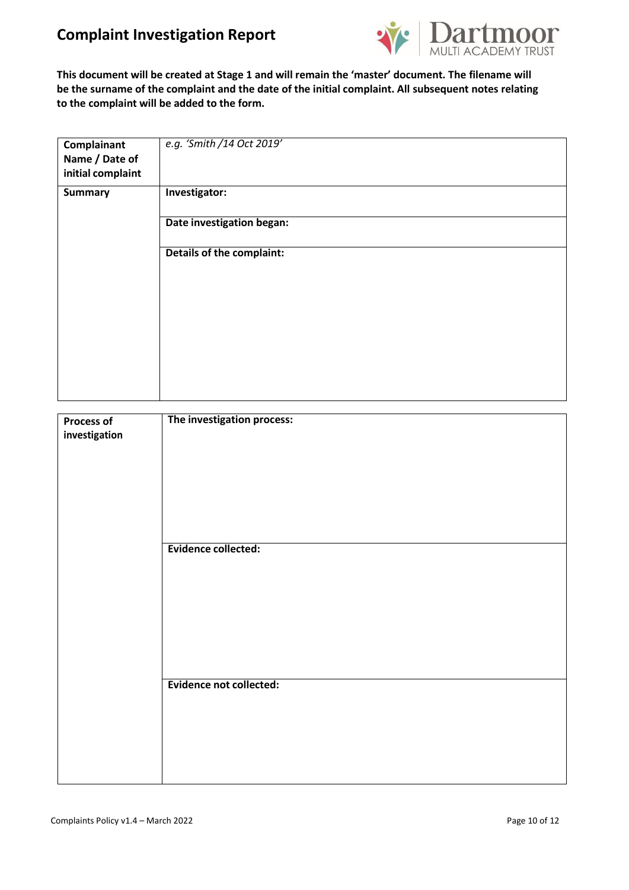# **Complaint Investigation Report**



**This document will be created at Stage 1 and will remain the 'master' document. The filename will be the surname of the complaint and the date of the initial complaint. All subsequent notes relating to the complaint will be added to the form.**

| Complainant<br>Name / Date of<br>initial complaint | e.g. 'Smith /14 Oct 2019'        |
|----------------------------------------------------|----------------------------------|
| <b>Summary</b>                                     | Investigator:                    |
|                                                    | Date investigation began:        |
|                                                    | <b>Details of the complaint:</b> |
|                                                    |                                  |
|                                                    |                                  |
|                                                    |                                  |
|                                                    |                                  |
|                                                    |                                  |

| <b>Process of</b><br>investigation | The investigation process: |
|------------------------------------|----------------------------|
|                                    | <b>Evidence collected:</b> |
|                                    |                            |
|                                    | Evidence not collected:    |
|                                    |                            |
|                                    |                            |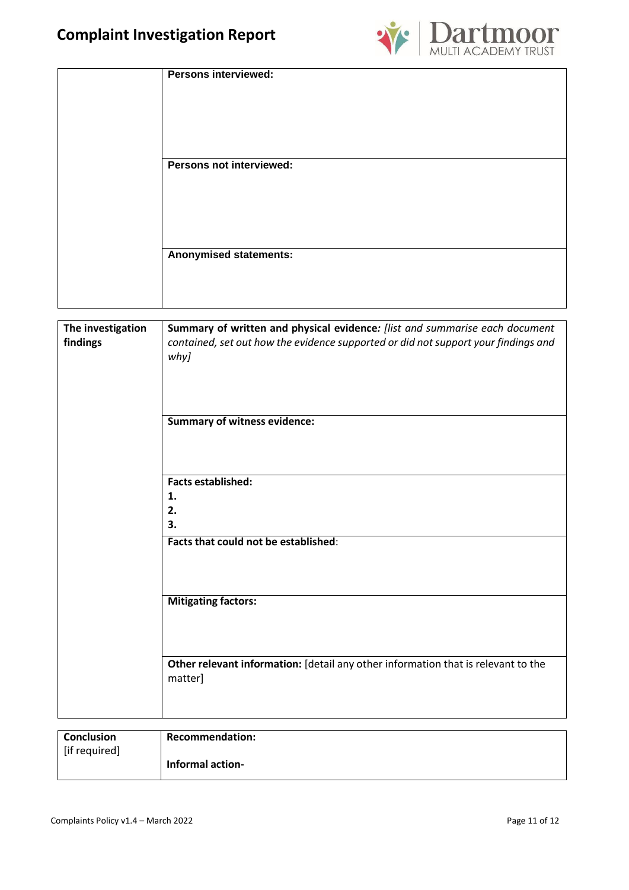

| <b>Persons interviewed:</b>   |  |
|-------------------------------|--|
| Persons not interviewed:      |  |
| <b>Anonymised statements:</b> |  |

| The investigation<br>findings          | Summary of written and physical evidence: [list and summarise each document<br>contained, set out how the evidence supported or did not support your findings and<br>why]<br><b>Summary of witness evidence:</b> |
|----------------------------------------|------------------------------------------------------------------------------------------------------------------------------------------------------------------------------------------------------------------|
|                                        | <b>Facts established:</b><br>1.<br>2.<br>3.<br>Facts that could not be established:                                                                                                                              |
|                                        | <b>Mitigating factors:</b>                                                                                                                                                                                       |
|                                        | Other relevant information: [detail any other information that is relevant to the<br>matter]                                                                                                                     |
| $\overline{\phantom{a}}$<br>والمستردات | <b>D</b><br>والتقامي الم                                                                                                                                                                                         |

| Conclusion    | <b>Recommendation:</b>  |
|---------------|-------------------------|
| [if required] |                         |
|               | <b>Informal action-</b> |
|               |                         |